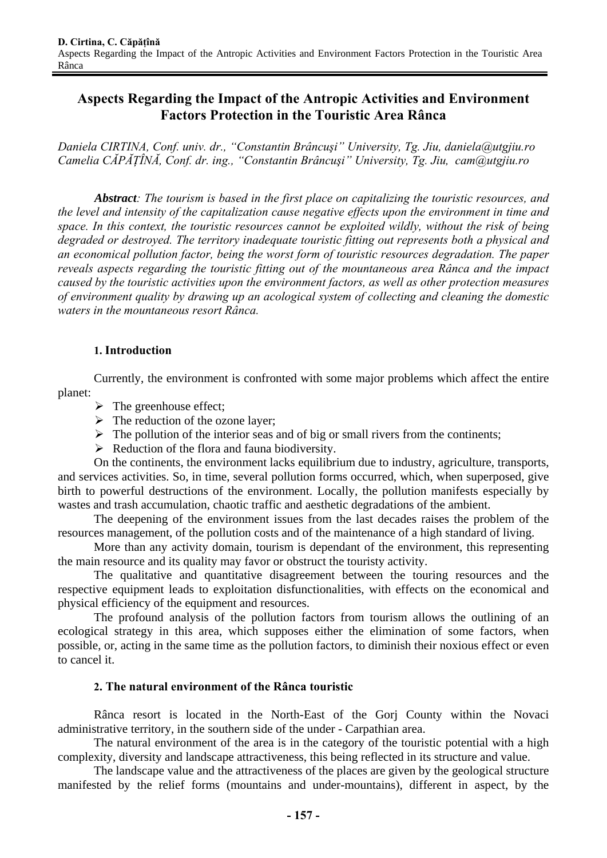# **Aspects Regarding the Impact of the Antropic Activities and Environment Factors Protection in the Touristic Area Rânca**

*Daniela CIRTINA, Conf. univ. dr., "Constantin Brâncuşi" University, Tg. Jiu, daniela@utgjiu.ro Camelia CĂPĂŢÎNĂ, Conf. dr. ing., "Constantin Brâncuşi" University, Tg. Jiu, cam@utgjiu.ro*

*Abstract: The tourism is based in the first place on capitalizing the touristic resources, and the level and intensity of the capitalization cause negative effects upon the environment in time and space. In this context, the touristic resources cannot be exploited wildly, without the risk of being degraded or destroyed. The territory inadequate touristic fitting out represents both a physical and an economical pollution factor, being the worst form of touristic resources degradation. The paper reveals aspects regarding the touristic fitting out of the mountaneous area Rânca and the impact caused by the touristic activities upon the environment factors, as well as other protection measures of environment quality by drawing up an acological system of collecting and cleaning the domestic waters in the mountaneous resort Rânca.* 

### **1. Introduction**

 Currently, the environment is confronted with some major problems which affect the entire planet:

- $\triangleright$  The greenhouse effect;
- $\triangleright$  The reduction of the ozone layer;
- $\triangleright$  The pollution of the interior seas and of big or small rivers from the continents;
- $\triangleright$  Reduction of the flora and fauna biodiversity.

On the continents, the environment lacks equilibrium due to industry, agriculture, transports, and services activities. So, in time, several pollution forms occurred, which, when superposed, give birth to powerful destructions of the environment. Locally, the pollution manifests especially by wastes and trash accumulation, chaotic traffic and aesthetic degradations of the ambient.

The deepening of the environment issues from the last decades raises the problem of the resources management, of the pollution costs and of the maintenance of a high standard of living.

More than any activity domain, tourism is dependant of the environment, this representing the main resource and its quality may favor or obstruct the touristy activity.

The qualitative and quantitative disagreement between the touring resources and the respective equipment leads to exploitation disfunctionalities, with effects on the economical and physical efficiency of the equipment and resources.

The profound analysis of the pollution factors from tourism allows the outlining of an ecological strategy in this area, which supposes either the elimination of some factors, when possible, or, acting in the same time as the pollution factors, to diminish their noxious effect or even to cancel it.

#### **2. The natural environment of the Rânca touristic**

Rânca resort is located in the North-East of the Gorj County within the Novaci administrative territory, in the southern side of the under - Carpathian area.

The natural environment of the area is in the category of the touristic potential with a high complexity, diversity and landscape attractiveness, this being reflected in its structure and value.

The landscape value and the attractiveness of the places are given by the geological structure manifested by the relief forms (mountains and under-mountains), different in aspect, by the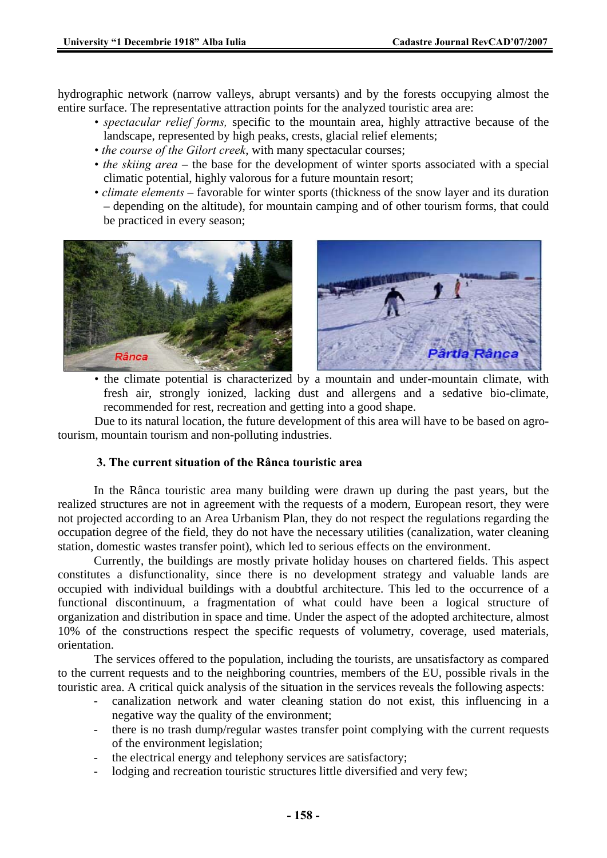hydrographic network (narrow valleys, abrupt versants) and by the forests occupying almost the entire surface. The representative attraction points for the analyzed touristic area are:

- *spectacular relief forms,* specific to the mountain area, highly attractive because of the landscape, represented by high peaks, crests, glacial relief elements;
- *the course of the Gilort creek*, with many spectacular courses;
- *the skiing area* the base for the development of winter sports associated with a special climatic potential, highly valorous for a future mountain resort;
- *climate elements* favorable for winter sports (thickness of the snow layer and its duration – depending on the altitude), for mountain camping and of other tourism forms, that could be practiced in every season;





 • the climate potential is characterized by a mountain and under-mountain climate, with fresh air, strongly ionized, lacking dust and allergens and a sedative bio-climate, recommended for rest, recreation and getting into a good shape.

Due to its natural location, the future development of this area will have to be based on agrotourism, mountain tourism and non-polluting industries.

#### **3. The current situation of the Rânca touristic area**

In the Rânca touristic area many building were drawn up during the past years, but the realized structures are not in agreement with the requests of a modern, European resort, they were not projected according to an Area Urbanism Plan, they do not respect the regulations regarding the occupation degree of the field, they do not have the necessary utilities (canalization, water cleaning station, domestic wastes transfer point), which led to serious effects on the environment.

Currently, the buildings are mostly private holiday houses on chartered fields. This aspect constitutes a disfunctionality, since there is no development strategy and valuable lands are occupied with individual buildings with a doubtful architecture. This led to the occurrence of a functional discontinuum, a fragmentation of what could have been a logical structure of organization and distribution in space and time. Under the aspect of the adopted architecture, almost 10% of the constructions respect the specific requests of volumetry, coverage, used materials, orientation.

The services offered to the population, including the tourists, are unsatisfactory as compared to the current requests and to the neighboring countries, members of the EU, possible rivals in the touristic area. A critical quick analysis of the situation in the services reveals the following aspects:

- canalization network and water cleaning station do not exist, this influencing in a negative way the quality of the environment;
- there is no trash dump/regular wastes transfer point complying with the current requests of the environment legislation;
- the electrical energy and telephony services are satisfactory;
- lodging and recreation touristic structures little diversified and very few;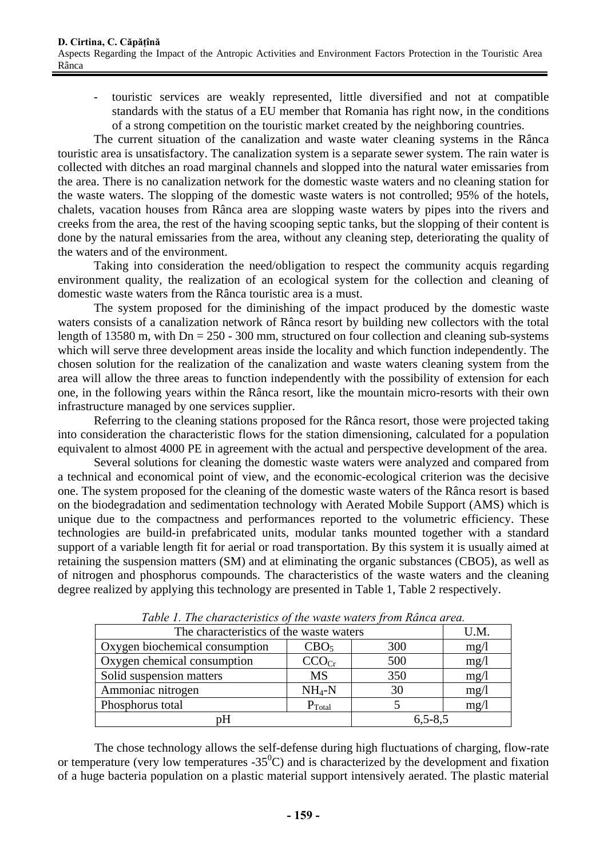- touristic services are weakly represented, little diversified and not at compatible standards with the status of a EU member that Romania has right now, in the conditions of a strong competition on the touristic market created by the neighboring countries.

The current situation of the canalization and waste water cleaning systems in the Rânca touristic area is unsatisfactory. The canalization system is a separate sewer system. The rain water is collected with ditches an road marginal channels and slopped into the natural water emissaries from the area. There is no canalization network for the domestic waste waters and no cleaning station for the waste waters. The slopping of the domestic waste waters is not controlled; 95% of the hotels, chalets, vacation houses from Rânca area are slopping waste waters by pipes into the rivers and creeks from the area, the rest of the having scooping septic tanks, but the slopping of their content is done by the natural emissaries from the area, without any cleaning step, deteriorating the quality of the waters and of the environment.

Taking into consideration the need/obligation to respect the community acquis regarding environment quality, the realization of an ecological system for the collection and cleaning of domestic waste waters from the Rânca touristic area is a must.

The system proposed for the diminishing of the impact produced by the domestic waste waters consists of a canalization network of Rânca resort by building new collectors with the total length of 13580 m, with  $Dn = 250 - 300$  mm, structured on four collection and cleaning sub-systems which will serve three development areas inside the locality and which function independently. The chosen solution for the realization of the canalization and waste waters cleaning system from the area will allow the three areas to function independently with the possibility of extension for each one, in the following years within the Rânca resort, like the mountain micro-resorts with their own infrastructure managed by one services supplier.

Referring to the cleaning stations proposed for the Rânca resort, those were projected taking into consideration the characteristic flows for the station dimensioning, calculated for a population equivalent to almost 4000 PE in agreement with the actual and perspective development of the area.

Several solutions for cleaning the domestic waste waters were analyzed and compared from a technical and economical point of view, and the economic-ecological criterion was the decisive one. The system proposed for the cleaning of the domestic waste waters of the Rânca resort is based on the biodegradation and sedimentation technology with Aerated Mobile Support (AMS) which is unique due to the compactness and performances reported to the volumetric efficiency. These technologies are build-in prefabricated units, modular tanks mounted together with a standard support of a variable length fit for aerial or road transportation. By this system it is usually aimed at retaining the suspension matters (SM) and at eliminating the organic substances (CBO5), as well as of nitrogen and phosphorus compounds. The characteristics of the waste waters and the cleaning degree realized by applying this technology are presented in Table 1, Table 2 respectively.

| Twore It The chan acter tones of the waste waters from Italical and call |                    |             |      |  |
|--------------------------------------------------------------------------|--------------------|-------------|------|--|
| The characteristics of the waste waters                                  |                    |             | U.M. |  |
| Oxygen biochemical consumption                                           | CBO <sub>5</sub>   | 300         | mg/l |  |
| Oxygen chemical consumption                                              | CCO <sub>Cr</sub>  | 500         | mg/l |  |
| Solid suspension matters                                                 | <b>MS</b>          | 350         | mg/1 |  |
| Ammoniac nitrogen                                                        | $NH_4-N$           | 30          | mg/l |  |
| Phosphorus total                                                         | $P_{\text{Total}}$ |             | mg/l |  |
| pН                                                                       |                    | $6,5 - 8,5$ |      |  |

*Table 1. The characteristics of the waste waters from Rânca area.* 

The chose technology allows the self-defense during high fluctuations of charging, flow-rate or temperature (very low temperatures  $-35^{\circ}$ C) and is characterized by the development and fixation of a huge bacteria population on a plastic material support intensively aerated. The plastic material